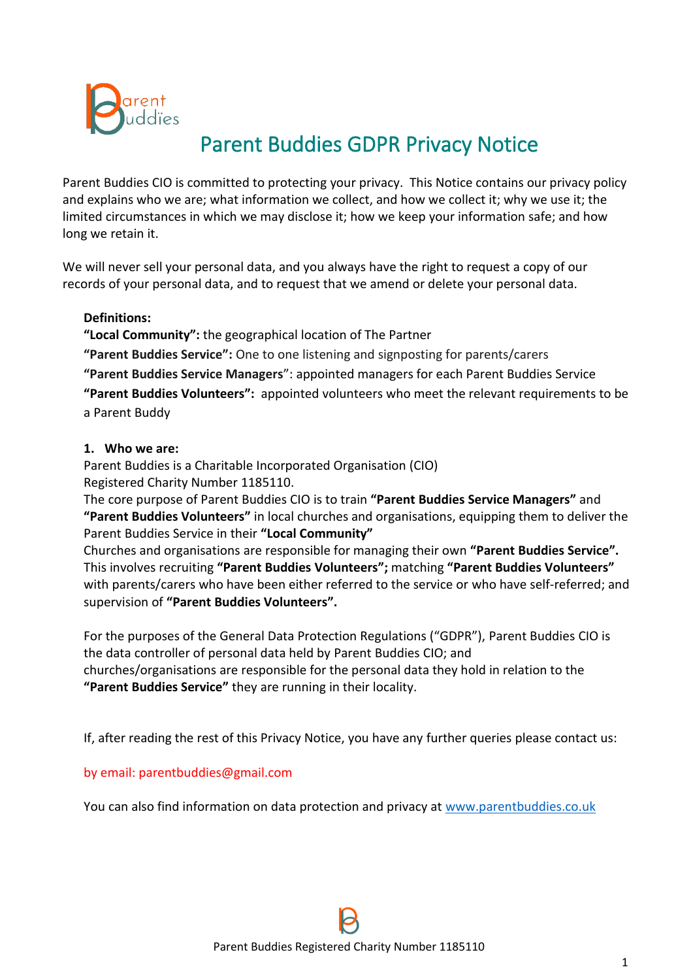

# Parent Buddies GDPR Privacy Notice

Parent Buddies CIO is committed to protecting your privacy. This Notice contains our privacy policy and explains who we are; what information we collect, and how we collect it; why we use it; the limited circumstances in which we may disclose it; how we keep your information safe; and how long we retain it.

We will never sell your personal data, and you always have the right to request a copy of our records of your personal data, and to request that we amend or delete your personal data.

#### **Definitions:**

**"Local Community":** the geographical location of The Partner

**"Parent Buddies Service":** One to one listening and signposting for parents/carers

**"Parent Buddies Service Managers**": appointed managers for each Parent Buddies Service **"Parent Buddies Volunteers":** appointed volunteers who meet the relevant requirements to be a Parent Buddy

#### **1. Who we are:**

Parent Buddies is a Charitable Incorporated Organisation (CIO) Registered Charity Number 1185110.

The core purpose of Parent Buddies CIO is to train **"Parent Buddies Service Managers"** and **"Parent Buddies Volunteers"** in local churches and organisations, equipping them to deliver the Parent Buddies Service in their **"Local Community"**

Churches and organisations are responsible for managing their own **"Parent Buddies Service".** This involves recruiting **"Parent Buddies Volunteers";** matching **"Parent Buddies Volunteers"** with parents/carers who have been either referred to the service or who have self-referred; and supervision of **"Parent Buddies Volunteers".**

For the purposes of the General Data Protection Regulations ("GDPR"), Parent Buddies CIO is the data controller of personal data held by Parent Buddies CIO; and churches/organisations are responsible for the personal data they hold in relation to the **"Parent Buddies Service"** they are running in their locality.

If, after reading the rest of this Privacy Notice, you have any further queries please contact us:

#### by email: parentbuddies@gmail.com

You can also find information on data protection and privacy at [www.parentbuddies.co.uk](http://www.parentbuddies.co.uk/)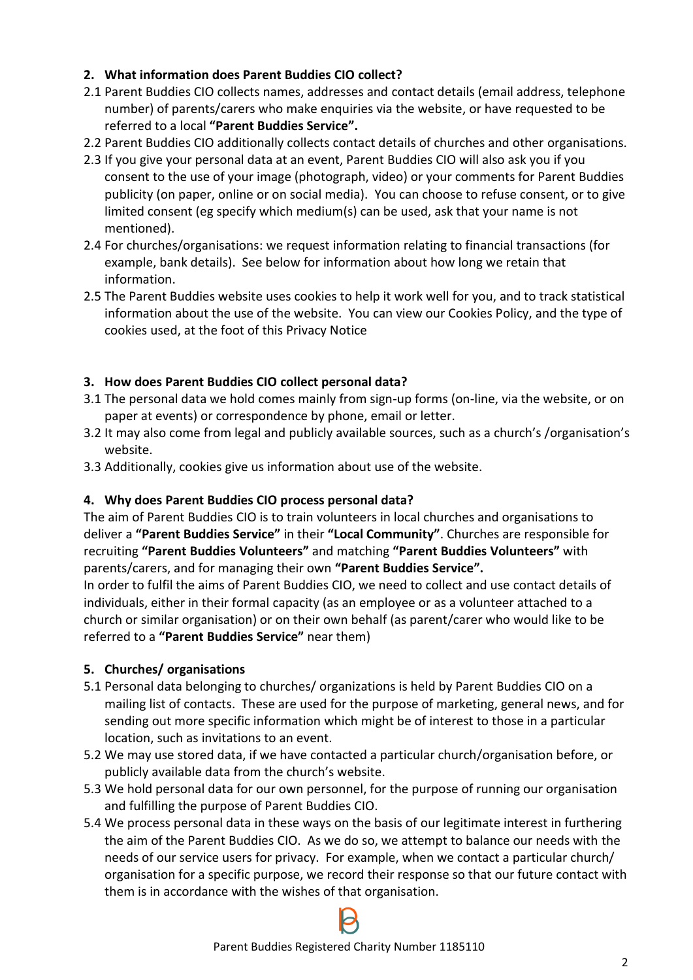# **2. What information does Parent Buddies CIO collect?**

- 2.1 Parent Buddies CIO collects names, addresses and contact details (email address, telephone number) of parents/carers who make enquiries via the website, or have requested to be referred to a local **"Parent Buddies Service".**
- 2.2 Parent Buddies CIO additionally collects contact details of churches and other organisations.
- 2.3 If you give your personal data at an event, Parent Buddies CIO will also ask you if you consent to the use of your image (photograph, video) or your comments for Parent Buddies publicity (on paper, online or on social media). You can choose to refuse consent, or to give limited consent (eg specify which medium(s) can be used, ask that your name is not mentioned).
- 2.4 For churches/organisations: we request information relating to financial transactions (for example, bank details). See below for information about how long we retain that information.
- 2.5 The Parent Buddies website uses cookies to help it work well for you, and to track statistical information about the use of the website. You can view our Cookies Policy, and the type of cookies used, at the foot of this Privacy Notice

# **3. How does Parent Buddies CIO collect personal data?**

- 3.1 The personal data we hold comes mainly from sign-up forms (on-line, via the website, or on paper at events) or correspondence by phone, email or letter.
- 3.2 It may also come from legal and publicly available sources, such as a church's /organisation's website.
- 3.3 Additionally, cookies give us information about use of the website.

#### **4. Why does Parent Buddies CIO process personal data?**

The aim of Parent Buddies CIO is to train volunteers in local churches and organisations to deliver a **"Parent Buddies Service"** in their **"Local Community"**. Churches are responsible for recruiting **"Parent Buddies Volunteers"** and matching **"Parent Buddies Volunteers"** with parents/carers, and for managing their own **"Parent Buddies Service".**

In order to fulfil the aims of Parent Buddies CIO, we need to collect and use contact details of individuals, either in their formal capacity (as an employee or as a volunteer attached to a church or similar organisation) or on their own behalf (as parent/carer who would like to be referred to a **"Parent Buddies Service"** near them)

# **5. Churches/ organisations**

- 5.1 Personal data belonging to churches/ organizations is held by Parent Buddies CIO on a mailing list of contacts. These are used for the purpose of marketing, general news, and for sending out more specific information which might be of interest to those in a particular location, such as invitations to an event.
- 5.2 We may use stored data, if we have contacted a particular church/organisation before, or publicly available data from the church's website.
- 5.3 We hold personal data for our own personnel, for the purpose of running our organisation and fulfilling the purpose of Parent Buddies CIO.
- 5.4 We process personal data in these ways on the basis of our legitimate interest in furthering the aim of the Parent Buddies CIO. As we do so, we attempt to balance our needs with the needs of our service users for privacy. For example, when we contact a particular church/ organisation for a specific purpose, we record their response so that our future contact with them is in accordance with the wishes of that organisation.

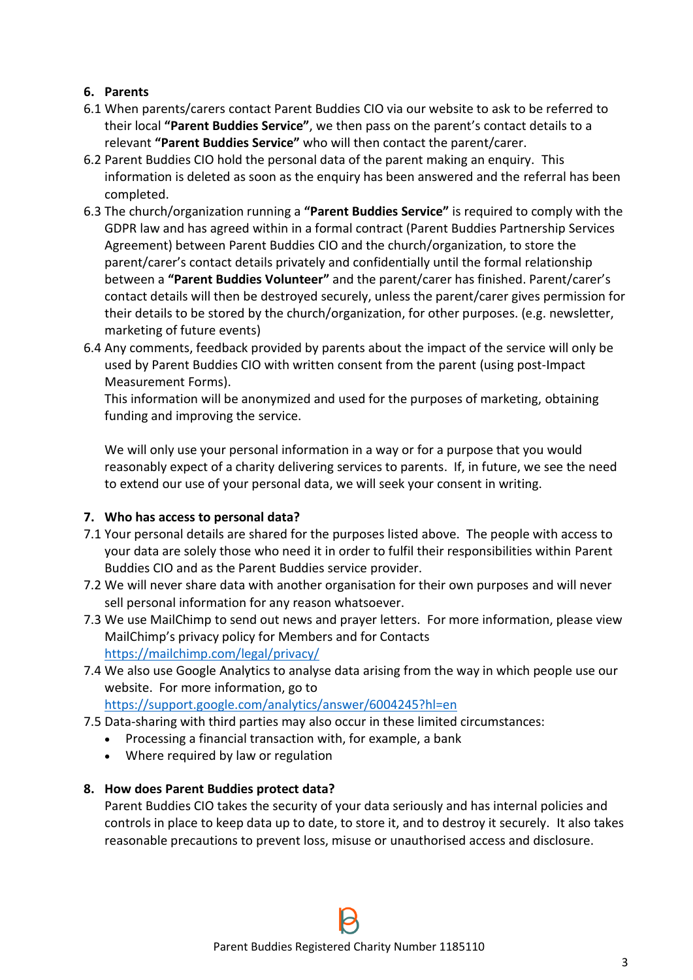# **6. Parents**

- 6.1 When parents/carers contact Parent Buddies CIO via our website to ask to be referred to their local **"Parent Buddies Service"**, we then pass on the parent's contact details to a relevant **"Parent Buddies Service"** who will then contact the parent/carer.
- 6.2 Parent Buddies CIO hold the personal data of the parent making an enquiry. This information is deleted as soon as the enquiry has been answered and the referral has been completed.
- 6.3 The church/organization running a **"Parent Buddies Service"** is required to comply with the GDPR law and has agreed within in a formal contract (Parent Buddies Partnership Services Agreement) between Parent Buddies CIO and the church/organization, to store the parent/carer's contact details privately and confidentially until the formal relationship between a **"Parent Buddies Volunteer"** and the parent/carer has finished. Parent/carer's contact details will then be destroyed securely, unless the parent/carer gives permission for their details to be stored by the church/organization, for other purposes. (e.g. newsletter, marketing of future events)
- 6.4 Any comments, feedback provided by parents about the impact of the service will only be used by Parent Buddies CIO with written consent from the parent (using post-Impact Measurement Forms).

This information will be anonymized and used for the purposes of marketing, obtaining funding and improving the service.

We will only use your personal information in a way or for a purpose that you would reasonably expect of a charity delivering services to parents. If, in future, we see the need to extend our use of your personal data, we will seek your consent in writing.

#### **7. Who has access to personal data?**

- 7.1 Your personal details are shared for the purposes listed above. The people with access to your data are solely those who need it in order to fulfil their responsibilities within Parent Buddies CIO and as the Parent Buddies service provider.
- 7.2 We will never share data with another organisation for their own purposes and will never sell personal information for any reason whatsoever.
- 7.3 We use MailChimp to send out news and prayer letters. For more information, please view MailChimp's privacy policy for Members and for Contacts <https://mailchimp.com/legal/privacy/>
- 7.4 We also use Google Analytics to analyse data arising from the way in which people use our website. For more information, go to <https://support.google.com/analytics/answer/6004245?hl=en>
- 7.5 Data-sharing with third parties may also occur in these limited circumstances:
	- Processing a financial transaction with, for example, a bank
	- Where required by law or regulation

#### **8. How does Parent Buddies protect data?**

Parent Buddies CIO takes the security of your data seriously and has internal policies and controls in place to keep data up to date, to store it, and to destroy it securely. It also takes reasonable precautions to prevent loss, misuse or unauthorised access and disclosure.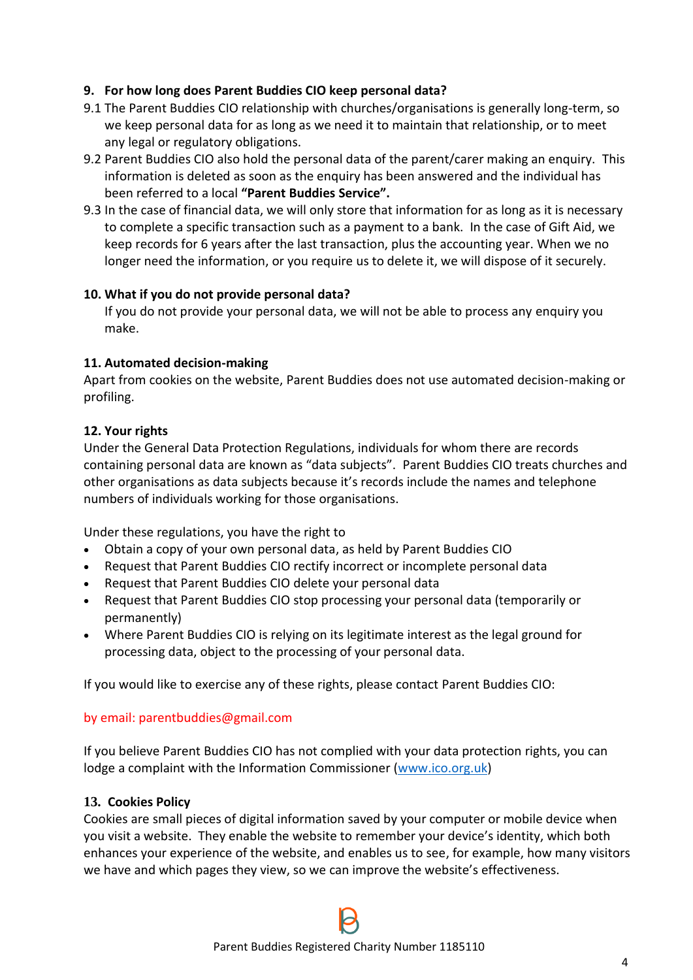## **9. For how long does Parent Buddies CIO keep personal data?**

- 9.1 The Parent Buddies CIO relationship with churches/organisations is generally long-term, so we keep personal data for as long as we need it to maintain that relationship, or to meet any legal or regulatory obligations.
- 9.2 Parent Buddies CIO also hold the personal data of the parent/carer making an enquiry. This information is deleted as soon as the enquiry has been answered and the individual has been referred to a local **"Parent Buddies Service".**
- 9.3 In the case of financial data, we will only store that information for as long as it is necessary to complete a specific transaction such as a payment to a bank. In the case of Gift Aid, we keep records for 6 years after the last transaction, plus the accounting year. When we no longer need the information, or you require us to delete it, we will dispose of it securely.

#### **10. What if you do not provide personal data?**

If you do not provide your personal data, we will not be able to process any enquiry you make.

# **11. Automated decision-making**

Apart from cookies on the website, Parent Buddies does not use automated decision-making or profiling.

# **12. Your rights**

Under the General Data Protection Regulations, individuals for whom there are records containing personal data are known as "data subjects". Parent Buddies CIO treats churches and other organisations as data subjects because it's records include the names and telephone numbers of individuals working for those organisations.

Under these regulations, you have the right to

- Obtain a copy of your own personal data, as held by Parent Buddies CIO
- Request that Parent Buddies CIO rectify incorrect or incomplete personal data
- Request that Parent Buddies CIO delete your personal data
- Request that Parent Buddies CIO stop processing your personal data (temporarily or permanently)
- Where Parent Buddies CIO is relying on its legitimate interest as the legal ground for processing data, object to the processing of your personal data.

If you would like to exercise any of these rights, please contact Parent Buddies CIO:

#### by email: parentbuddies@gmail.com

If you believe Parent Buddies CIO has not complied with your data protection rights, you can lodge a complaint with the Information Commissioner [\(www.ico.org.uk\)](file:///C:/Users/Jayne%20Groves/Downloads/www.ico.org.uk)

#### **13. Cookies Policy**

Cookies are small pieces of digital information saved by your computer or mobile device when you visit a website. They enable the website to remember your device's identity, which both enhances your experience of the website, and enables us to see, for example, how many visitors we have and which pages they view, so we can improve the website's effectiveness.